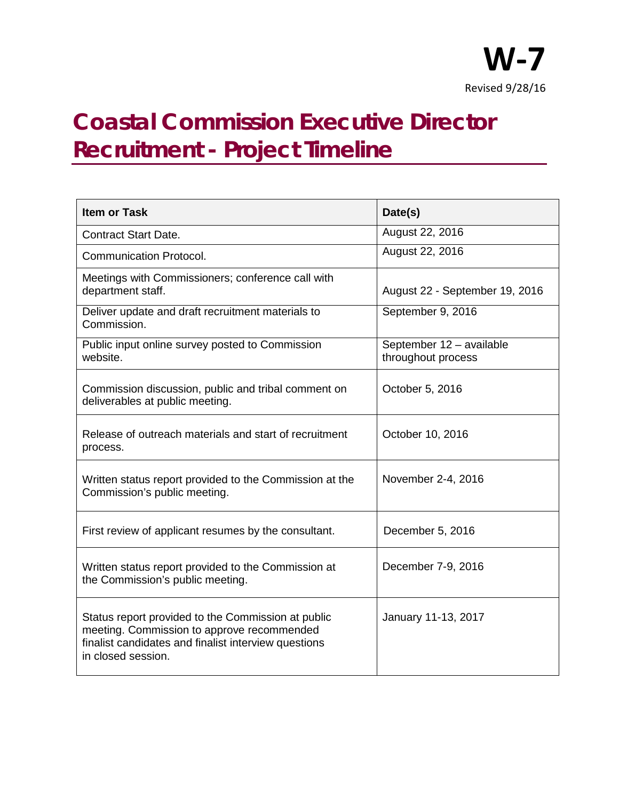

## **Coastal Commission Executive Director Recruitment - Project Timeline**

| <b>Item or Task</b>                                                                                                                                                            | Date(s)                                        |
|--------------------------------------------------------------------------------------------------------------------------------------------------------------------------------|------------------------------------------------|
| <b>Contract Start Date.</b>                                                                                                                                                    | August 22, 2016                                |
| <b>Communication Protocol.</b>                                                                                                                                                 | August 22, 2016                                |
| Meetings with Commissioners; conference call with<br>department staff.                                                                                                         | August 22 - September 19, 2016                 |
| Deliver update and draft recruitment materials to<br>Commission.                                                                                                               | September 9, 2016                              |
| Public input online survey posted to Commission<br>website.                                                                                                                    | September 12 - available<br>throughout process |
| Commission discussion, public and tribal comment on<br>deliverables at public meeting.                                                                                         | October 5, 2016                                |
| Release of outreach materials and start of recruitment<br>process.                                                                                                             | October 10, 2016                               |
| Written status report provided to the Commission at the<br>Commission's public meeting.                                                                                        | November 2-4, 2016                             |
| First review of applicant resumes by the consultant.                                                                                                                           | December 5, 2016                               |
| Written status report provided to the Commission at<br>the Commission's public meeting.                                                                                        | December 7-9, 2016                             |
| Status report provided to the Commission at public<br>meeting. Commission to approve recommended<br>finalist candidates and finalist interview questions<br>in closed session. | January 11-13, 2017                            |